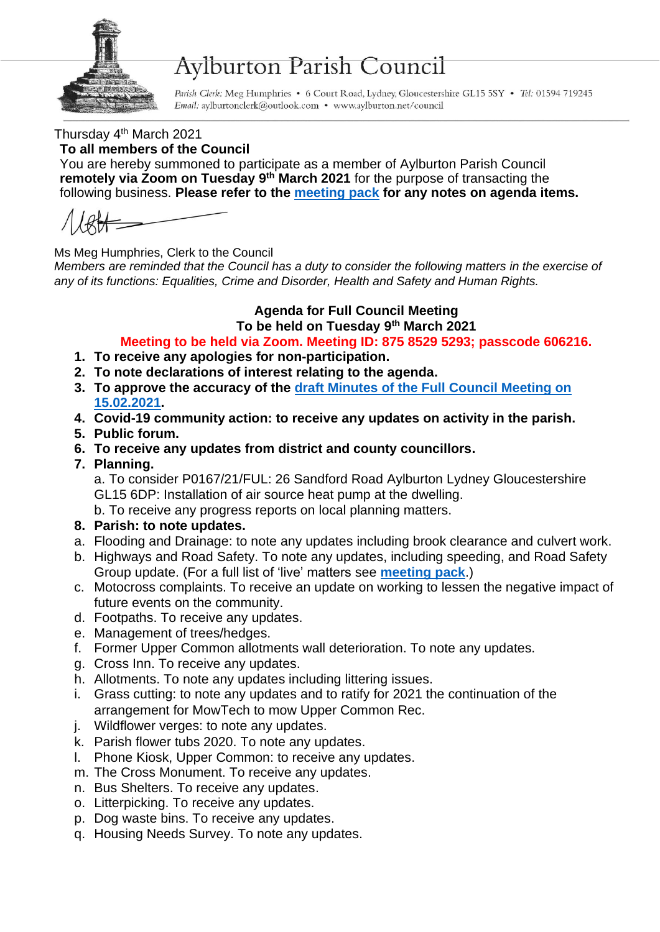

# **Aylburton Parish Council**

Parish Clerk: Meg Humphries • 6 Court Road, Lydney, Gloucestershire GL15 5SY • Tel: 01594 719245 Email: aylburtonclerk@outlook.com • www.aylburton.net/council

Thursday 4<sup>th</sup> March 2021

#### **To all members of the Council**

You are hereby summoned to participate as a member of Aylburton Parish Council **remotely via Zoom on Tuesday 9 th March 2021** for the purpose of transacting the following business. **Please refer to the [meeting pack](http://aylburton.net/wp-content/uploads/2021/03/210308-Meeting-Pack-March-2021-Full-Council-08.03.2020.pdf) for any notes on agenda items.**

Ms Meg Humphries, Clerk to the Council

*Members are reminded that the Council has a duty to consider the following matters in the exercise of any of its functions: Equalities, Crime and Disorder, Health and Safety and Human Rights.*

# **Agenda for Full Council Meeting**

#### **To be held on Tuesday 9th March 2021 Meeting to be held via Zoom. Meeting ID: 875 8529 5293; passcode 606216.**

- **1. To receive any apologies for non-participation.**
- **2. To note declarations of interest relating to the agenda.**
- **3. To approve the accuracy of the draft [Minutes of the Full Council Meeting on](http://aylburton.net/wp-content/uploads/2021/03/210215-DRAFT-Minutes-Full-Council-Meeting-15.02.21.pdf)  [15.02.2021.](http://aylburton.net/wp-content/uploads/2021/03/210215-DRAFT-Minutes-Full-Council-Meeting-15.02.21.pdf)**
- **4. Covid-19 community action: to receive any updates on activity in the parish.**
- **5. Public forum.**
- **6. To receive any updates from district and county councillors.**
- **7. Planning.**

a. To consider P0167/21/FUL: 26 Sandford Road Aylburton Lydney Gloucestershire GL15 6DP: Installation of air source heat pump at the dwelling.

b. To receive any progress reports on local planning matters.

### **8. Parish: to note updates.**

- a. Flooding and Drainage: to note any updates including brook clearance and culvert work.
- b. Highways and Road Safety. To note any updates, including speeding, and Road Safety Group update. (For a full list of 'live' matters see **[meeting pack](http://aylburton.net/wp-content/uploads/2021/03/210308-Meeting-Pack-March-2021-Full-Council-08.03.2020.pdf)**.)
- c. Motocross complaints. To receive an update on working to lessen the negative impact of future events on the community.
- d. Footpaths. To receive any updates.
- e. Management of trees/hedges.
- f. Former Upper Common allotments wall deterioration. To note any updates.
- g. Cross Inn. To receive any updates.
- h. Allotments. To note any updates including littering issues.
- i. Grass cutting: to note any updates and to ratify for 2021 the continuation of the arrangement for MowTech to mow Upper Common Rec.
- j. Wildflower verges: to note any updates.
- k. Parish flower tubs 2020. To note any updates.
- l. Phone Kiosk, Upper Common: to receive any updates.
- m. The Cross Monument. To receive any updates.
- n. Bus Shelters. To receive any updates.
- o. Litterpicking. To receive any updates.
- p. Dog waste bins. To receive any updates.
- q. Housing Needs Survey. To note any updates.